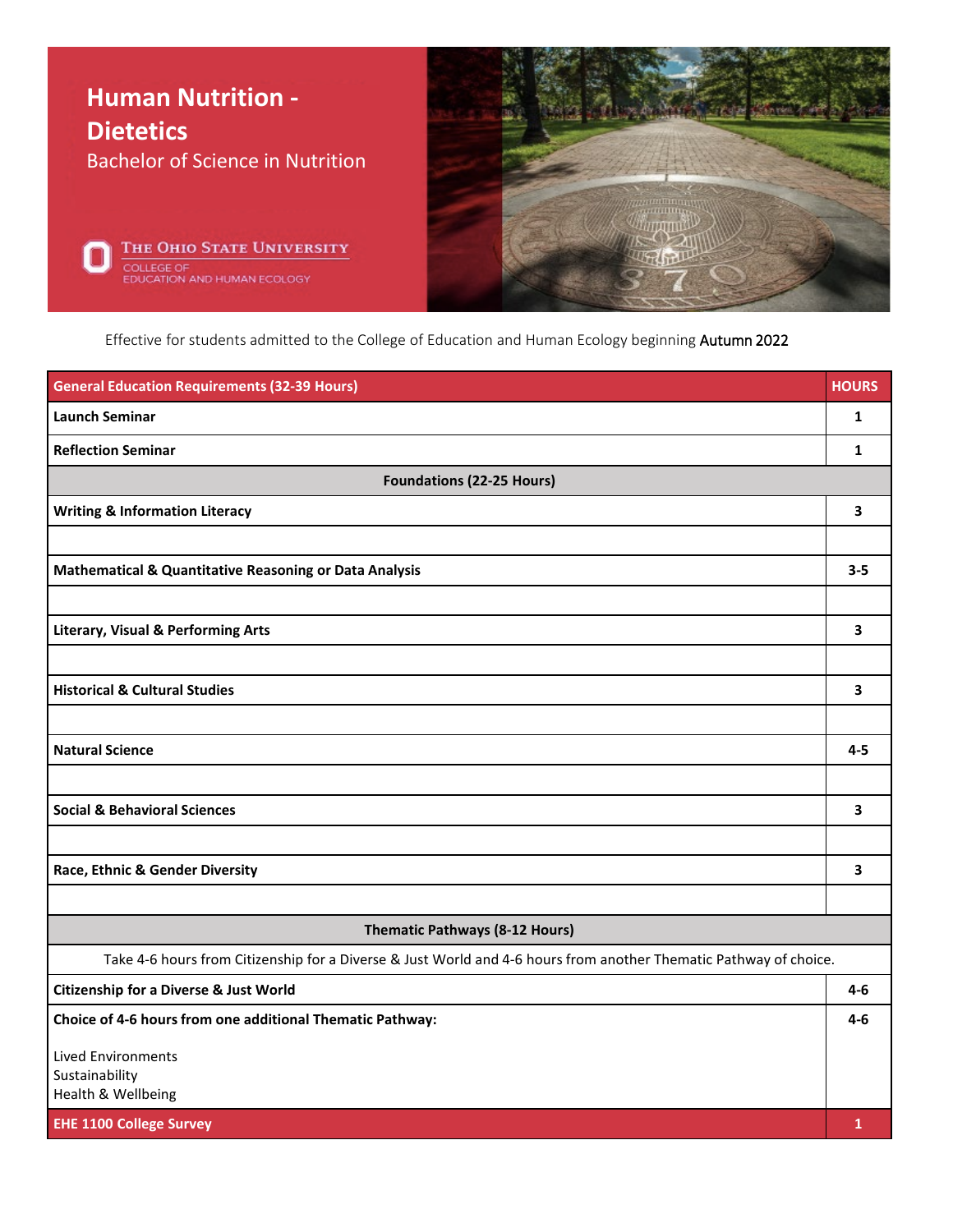

Effective for students admitted to the College of Education and Human Ecology beginning Autumn 2022

| <b>General Education Requirements (32-39 Hours)</b>                                                               | <b>HOURS</b> |  |
|-------------------------------------------------------------------------------------------------------------------|--------------|--|
| <b>Launch Seminar</b>                                                                                             | 1            |  |
| <b>Reflection Seminar</b>                                                                                         | $\mathbf{1}$ |  |
| <b>Foundations (22-25 Hours)</b>                                                                                  |              |  |
| <b>Writing &amp; Information Literacy</b>                                                                         | 3            |  |
|                                                                                                                   |              |  |
| <b>Mathematical &amp; Quantitative Reasoning or Data Analysis</b>                                                 | $3 - 5$      |  |
|                                                                                                                   |              |  |
| <b>Literary, Visual &amp; Performing Arts</b>                                                                     | 3            |  |
|                                                                                                                   |              |  |
| <b>Historical &amp; Cultural Studies</b>                                                                          | 3            |  |
|                                                                                                                   |              |  |
| <b>Natural Science</b>                                                                                            | $4 - 5$      |  |
|                                                                                                                   |              |  |
| <b>Social &amp; Behavioral Sciences</b>                                                                           | 3            |  |
|                                                                                                                   |              |  |
| Race, Ethnic & Gender Diversity                                                                                   | 3            |  |
|                                                                                                                   |              |  |
| <b>Thematic Pathways (8-12 Hours)</b>                                                                             |              |  |
| Take 4-6 hours from Citizenship for a Diverse & Just World and 4-6 hours from another Thematic Pathway of choice. |              |  |
| <b>Citizenship for a Diverse &amp; Just World</b>                                                                 | 4-6          |  |
| Choice of 4-6 hours from one additional Thematic Pathway:                                                         | 4-6          |  |
| <b>Lived Environments</b>                                                                                         |              |  |
| Sustainability<br>Health & Wellbeing                                                                              |              |  |
| <b>EHE 1100 College Survey</b>                                                                                    | 1            |  |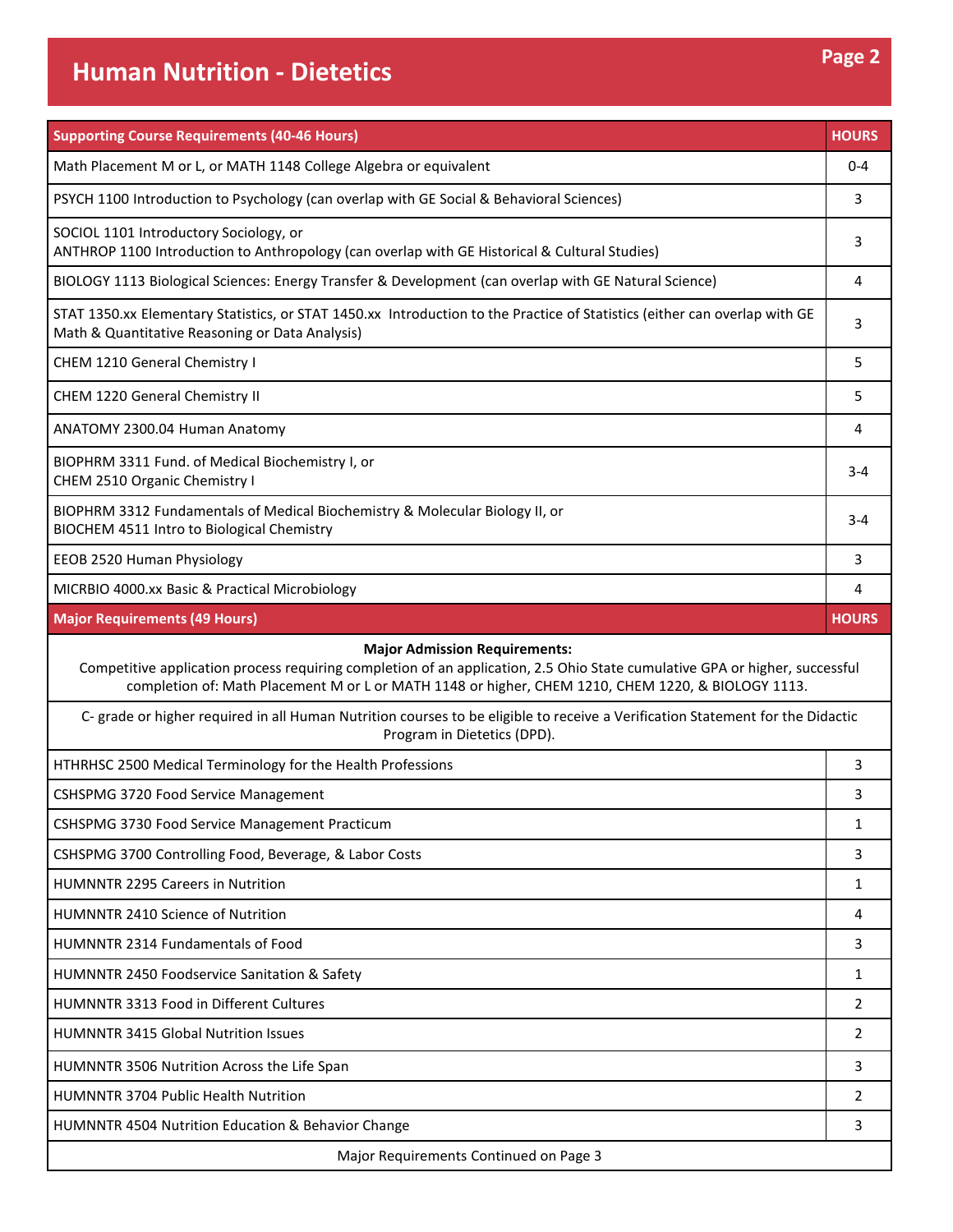## **Human Nutrition - Dietetics Page 2**

| <b>Supporting Course Requirements (40-46 Hours)</b>                                                                                                                                                                                                                       | <b>HOURS</b> |  |
|---------------------------------------------------------------------------------------------------------------------------------------------------------------------------------------------------------------------------------------------------------------------------|--------------|--|
| Math Placement M or L, or MATH 1148 College Algebra or equivalent                                                                                                                                                                                                         | $0 - 4$      |  |
| PSYCH 1100 Introduction to Psychology (can overlap with GE Social & Behavioral Sciences)                                                                                                                                                                                  | 3            |  |
| SOCIOL 1101 Introductory Sociology, or<br>ANTHROP 1100 Introduction to Anthropology (can overlap with GE Historical & Cultural Studies)                                                                                                                                   | 3            |  |
| BIOLOGY 1113 Biological Sciences: Energy Transfer & Development (can overlap with GE Natural Science)                                                                                                                                                                     | 4            |  |
| STAT 1350.xx Elementary Statistics, or STAT 1450.xx Introduction to the Practice of Statistics (either can overlap with GE<br>Math & Quantitative Reasoning or Data Analysis)                                                                                             | 3            |  |
| CHEM 1210 General Chemistry I                                                                                                                                                                                                                                             | 5            |  |
| CHEM 1220 General Chemistry II                                                                                                                                                                                                                                            | 5            |  |
| ANATOMY 2300.04 Human Anatomy                                                                                                                                                                                                                                             | 4            |  |
| BIOPHRM 3311 Fund. of Medical Biochemistry I, or<br>CHEM 2510 Organic Chemistry I                                                                                                                                                                                         | 3-4          |  |
| BIOPHRM 3312 Fundamentals of Medical Biochemistry & Molecular Biology II, or<br>BIOCHEM 4511 Intro to Biological Chemistry                                                                                                                                                | 3-4          |  |
| EEOB 2520 Human Physiology                                                                                                                                                                                                                                                | 3            |  |
| MICRBIO 4000.xx Basic & Practical Microbiology                                                                                                                                                                                                                            | 4            |  |
| <b>Major Requirements (49 Hours)</b>                                                                                                                                                                                                                                      | <b>HOURS</b> |  |
| <b>Major Admission Requirements:</b><br>Competitive application process requiring completion of an application, 2.5 Ohio State cumulative GPA or higher, successful<br>completion of: Math Placement M or L or MATH 1148 or higher, CHEM 1210, CHEM 1220, & BIOLOGY 1113. |              |  |
|                                                                                                                                                                                                                                                                           |              |  |
| C- grade or higher required in all Human Nutrition courses to be eligible to receive a Verification Statement for the Didactic<br>Program in Dietetics (DPD).                                                                                                             |              |  |
| HTHRHSC 2500 Medical Terminology for the Health Professions                                                                                                                                                                                                               | 3            |  |
| CSHSPMG 3720 Food Service Management                                                                                                                                                                                                                                      | 3            |  |
| CSHSPMG 3730 Food Service Management Practicum                                                                                                                                                                                                                            | 1            |  |
| CSHSPMG 3700 Controlling Food, Beverage, & Labor Costs                                                                                                                                                                                                                    | 3            |  |
| HUMNNTR 2295 Careers in Nutrition                                                                                                                                                                                                                                         | 1            |  |
| HUMNNTR 2410 Science of Nutrition                                                                                                                                                                                                                                         | 4            |  |
| HUMNNTR 2314 Fundamentals of Food                                                                                                                                                                                                                                         | 3            |  |
| HUMNNTR 2450 Foodservice Sanitation & Safety                                                                                                                                                                                                                              | 1            |  |
| HUMNNTR 3313 Food in Different Cultures                                                                                                                                                                                                                                   | 2            |  |
| <b>HUMNNTR 3415 Global Nutrition Issues</b>                                                                                                                                                                                                                               | 2            |  |
| HUMNNTR 3506 Nutrition Across the Life Span                                                                                                                                                                                                                               | 3            |  |
| HUMNNTR 3704 Public Health Nutrition                                                                                                                                                                                                                                      | 2            |  |
| HUMNNTR 4504 Nutrition Education & Behavior Change                                                                                                                                                                                                                        | 3            |  |